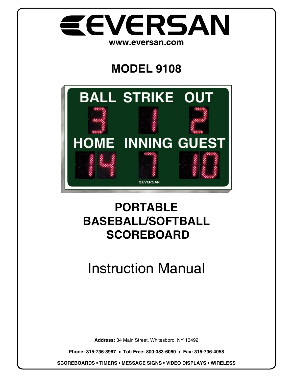

## **MODEL 9108**



### **PORTABLE BASEBALL/SOFTBALL SCOREBOARD**

# Instruction Manual

**Address:** 34 Main Street, Whitesboro, NY 13492

**Phone: 315-736-3967** • **Toll Free: 800-383-6060** • **Fax: 315-736-4058**

**SCOREBOARDS • TIMERS • MESSAGE SIGNS • VIDEO DISPLAYS • WIRELESS**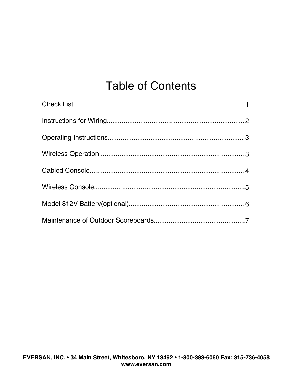### **Table of Contents**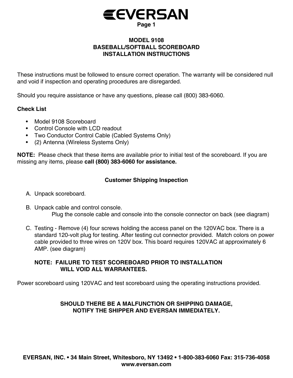

#### **MODEL 9108 BASEBALL/SOFTBALL SCOREBOARD INSTALLATION INSTRUCTIONS**

These instructions must be followed to ensure correct operation. The warranty will be considered null and void if inspection and operating procedures are disregarded.

Should you require assistance or have any questions, please call (800) 383-6060.

#### **Check List**

- Model 9108 Scoreboard
- Control Console with LCD readout
- Two Conductor Control Cable (Cabled Systems Only) •
- (2) Antenna (Wireless Systems Only) •

**NOTE:** Please check that these items are available prior to initial test of the scoreboard. If you are missing any items, please **call (800) 383-6060 for assistance.**

#### **Customer Shipping Inspection**

- A. Unpack scoreboard.
- B. Unpack cable and control console. Plug the console cable and console into the console connector on back (see diagram)
- C. Testing Remove (4) four screws holding the access panel on the 120VAC box. There is a standard 120-volt plug for testing. After testing cut connector provided. Match colors on power cable provided to three wires on 120V box. This board requires 120VAC at approximately 6 AMP. (see diagram)

#### **NOTE: FAILURE TO TEST SCOREBOARD PRIOR TO INSTALLATION WILL VOID ALL WARRANTEES.**

Power scoreboard using 120VAC and test scoreboard using the operating instructions provided.

#### **SHOULD THERE BE A MALFUNCTION OR SHIPPING DAMAGE, NOTIFY THE SHIPPER AND EVERSAN IMMEDIATELY.**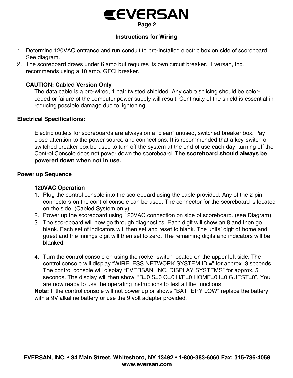### **Page 2 EEVERSAN**

#### **Instructions for Wiring**

- 1. Determine 120VAC entrance and run conduit to pre-installed electric box on side of scoreboard. See diagram.
- 2. The scoreboard draws under 6 amp but requires its own circuit breaker. Eversan, Inc. recommends using a 10 amp, GFCI breaker.

#### **CAUTION: Cabled Version Only**

The data cable is a pre-wired, 1 pair twisted shielded. Any cable splicing should be colorcoded or failure of the computer power supply will result. Continuity of the shield is essential in reducing possible damage due to lightening.

#### **Electrical Specifications:**

Electric outlets for scoreboards are always on a "clean" unused, switched breaker box. Pay close attention to the power source and connections. It is recommended that a key-switch or switched breaker box be used to turn off the system at the end of use each day, turning off the Control Console does not power down the scoreboard. **The scoreboard should always be powered down when not in use.**

#### **Power up Sequence**

#### **120VAC Operation**

- 1. Plug the control console into the scoreboard using the cable provided. Any of the 2-pin connectors on the control console can be used. The connector for the scoreboard is located on the side. (Cabled System only)
- 2. Power up the scoreboard using 120VAC,connection on side of scoreboard. (see Diagram)
- 3. The scoreboard will now go through diagnostics. Each digit will show an 8 and then go blank. Each set of indicators will then set and reset to blank. The units' digit of home and guest and the innings digit will then set to zero. The remaining digits and indicators will be blanked.
- 4. Turn the control console on using the rocker switch located on the upper left side. The control console will display "WIRELESS NETWORK SYSTEM ID =" for approx. 3 seconds. The control console will display "EVERSAN, INC. DISPLAY SYSTEMS" for approx. 5 seconds. The display will then show, "B=0 S=0 O=0 H/E=0 HOME=0 I=0 GUEST=0". You are now ready to use the operating instructions to test all the functions.

**Note:** If the control console will not power up or shows "BATTERY LOW" replace the battery with a 9V alkaline battery or use the 9 volt adapter provided.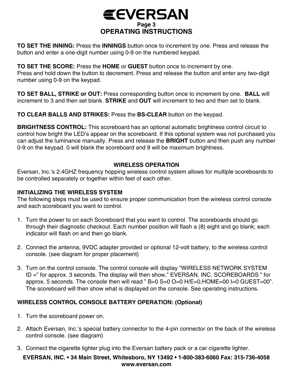

**TO SET THE INNING:** Press the **INNINGS** button once to increment by one. Press and release the button and enter a one-digit number using 0-9 on the numbered keypad.

#### **TO SET THE SCORE:** Press the **HOME** or **GUEST** button once to increment by one.

Press and hold down the button to decrement. Press and release the button and enter any two-digit number using 0-9 on the keypad.

**TO SET BALL, STRIKE or OUT:** Press corresponding button once to increment by one. **BALL** will increment to 3 and then set blank. **STRIKE** and **OUT** will increment to two and then set to blank.

**TO CLEAR BALLS AND STRIKES:** Press the **BS-CLEAR** button on the keypad.

**BRIGHTNESS CONTROL:** This scoreboard has an optional automatic brightness control circuit to control how bright the LED's appear on the scoreboard. If this optional system was not purchased you can adjust the luminance manually. Press and release the **BRIGHT** button and then push any number 0-9 on the keypad. 0 will blank the scoreboard and 9 will be maximum brightness.

#### **WIRELESS OPERATION**

Eversan, Inc.'s 2.4GHZ frequency hopping wireless control system allows for multiple scoreboards to be controlled separately or together within feet of each other.

#### **INITIALIZING THE WIRELESS SYSTEM**

The following steps must be used to ensure proper communication from the wireless control console and each scoreboard you want to control.

- 1. Turn the power to on each Scoreboard that you want to control. The scoreboards should go through their diagnostic checkout. Each number position will flash a (8) eight and go blank; each indicator will flash on and then go blank.
- 2. Connect the antenna, 9VDC adapter provided or optional 12-volt battery, to the wireless control console. (see diagram for proper placement)
- 3. Turn on the control console. The control console will display "WIRELESS NETWORK SYSTEM ID =" for approx. 3 seconds. The display will then show," EVERSAN, INC. SCOREBOARDS " for approx. 5 seconds. The console then will read " B=0 S=0 O=0 H/E=0,HOME=00 I=0 GUEST=00". The scoreboard will then show what is displayed on the console. See operating instructions.

#### **WIRELESS CONTROL CONSOLE BATTERY OPERATION: (Optional)**

- 1. Turn the scoreboard power on.
- 2. Attach Eversan, Inc.'s special battery connector to the 4-pin connector on the back of the wireless control console. (see diagram)
- 3. Connect the cigarette lighter plug into the Eversan battery pack or a car cigarette lighter.

#### **EVERSAN, INC. • 34 Main Street, Whitesboro, NY 13492 • 1-800-383-6060 Fax: 315-736-4058 www.eversan.com**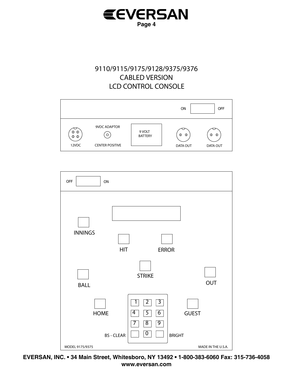

#### 9110/9115/9175/9128/9375/9376 **CABLED VERSION LCD CONTROL CONSOLE**





EVERSAN, INC. • 34 Main Street, Whitesboro, NY 13492 • 1-800-383-6060 Fax: 315-736-4058 www.eversan.com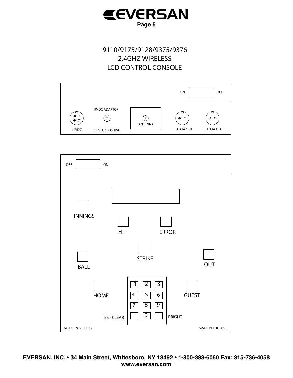

#### 9110/9175/9128/9375/9376 2.4GHZ WIRELESS **LCD CONTROL CONSOLE**



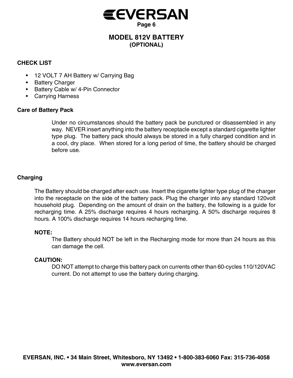

#### **MODEL 812V BATTERY (OPTIONAL)**

#### **CHECK LIST**

- 12 VOLT 7 AH Battery w/ Carrying Bag •
- Battery Charger
- Battery Cable w/ 4-Pin Connector
- Carrying Harness •

#### **Care of Battery Pack**

Under no circumstances should the battery pack be punctured or disassembled in any way. NEVER insert anything into the battery receptacle except a standard cigarette lighter type plug. The battery pack should always be stored in a fully charged condition and in a cool, dry place. When stored for a long period of time, the battery should be charged before use.

#### **Charging**

The Battery should be charged after each use. Insert the cigarette lighter type plug of the charger into the receptacle on the side of the battery pack. Plug the charger into any standard 120volt household plug. Depending on the amount of drain on the battery, the following is a guide for recharging time. A 25% discharge requires 4 hours recharging. A 50% discharge requires 8 hours. A 100% discharge requires 14 hours recharging time.

#### **NOTE:**

The Battery should NOT be left in the Recharging mode for more than 24 hours as this can damage the cell.

#### **CAUTION:**

DO NOT attempt to charge this battery pack on currents other than 60-cycles 110/120VAC current. Do not attempt to use the battery during charging.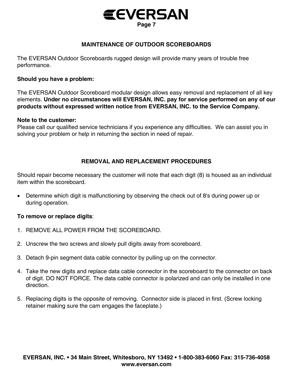

#### **MAINTENANCE OF OUTDOOR SCOREBOARDS**

The EVERSAN Outdoor Scoreboards rugged design will provide many years of trouble free performance.

#### **Should you have a problem:**

The EVERSAN Outdoor Scoreboard modular design allows easy removal and replacement of all key elements. **Under no circumstances will EVERSAN, INC. pay for service performed on any of our products without expressed written notice from EVERSAN, INC. to the Service Company.**

#### **Note to the customer:**

Please call our qualified service technicians if you experience any difficulties. We can assist you in solving your problem or help in returning the section in need of repair.

#### **REMOVAL AND REPLACEMENT PROCEDURES**

Should repair become necessary the customer will note that each digit (8) is housed as an individual item within the scoreboard.

• Determine which digit is malfunctioning by observing the check out of 8's during power up or during operation.

#### **To remove or replace digits**:

- 1. REMOVE ALL POWER FROM THE SCOREBOARD.
- 2. Unscrew the two screws and slowly pull digits away from scoreboard.
- 3. Detach 9-pin segment data cable connector by pulling up on the connector.
- 4. Take the new digits and replace data cable connector in the scoreboard to the connector on back of digit. DO NOT FORCE. The data cable connector is polarized and can only be installed in one direction.
- 5. Replacing digits is the opposite of removing. Connector side is placed in first. (Screw locking retainer making sure the cam engages the faceplate.)